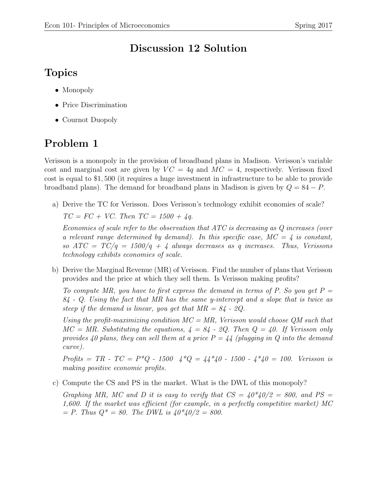## Discussion 12 Solution

## Topics

• Monopoly

- Price Discrimination
- Cournot Duopoly

## Problem 1

Verisson is a monopoly in the provision of broadband plans in Madison. Verisson's variable cost and marginal cost are given by  $VC = 4q$  and  $MC = 4$ , respectively. Verisson fixed cost is equal to \$1, 500 (it requires a huge investment in infrastructure to be able to provide broadband plans). The demand for broadband plans in Madison is given by  $Q = 84 - P$ .

a) Derive the TC for Verisson. Does Verisson's technology exhibit economies of scale?

 $TC = FC + VC$ . Then  $TC = 1500 + 4q$ .

Economies of scale refer to the observation that ATC is decreasing as Q increases (over a relevant range determined by demand). In this specific case,  $MC = 4$  is constant, so  $ATC = TC/q = 1500/q + 4$  always decreases as q increases. Thus, Verissons technology exhibits economies of scale.

b) Derive the Marginal Revenue (MR) of Verisson. Find the number of plans that Verisson provides and the price at which they sell them. Is Verisson making profits?

To compute MR, you have to first express the demand in terms of P. So you get  $P =$  $84$  - Q. Using the fact that MR has the same y-intercept and a slope that is twice as steep if the demand is linear, you get that  $MR = 84$  - 2Q.

Using the profit-maximizing condition  $MC = MR$ , Verisson would choose QM such that  $MC = MR$ . Substituting the equations,  $4 = 84$  - 2Q. Then  $Q = 40$ . If Verisson only provides 40 plans, they can sell them at a price  $P = 44$  (plugging in Q into the demand curve).

Profits = TR - TC =  $P^*Q$  - 1500  $4^*Q = 44^*40$  - 1500 -  $4^*40 = 100$ . Verisson is making positive economic profits.

c) Compute the CS and PS in the market. What is the DWL of this monopoly?

Graphing MR, MC and D it is easy to verify that  $CS = 40*40/2 = 800$ , and  $PS =$ 1,600. If the market was efficient (for example, in a perfectly competitive market) MC  $= P$ . Thus  $Q^* = 80$ . The DWL is  $40*40/2 = 800$ .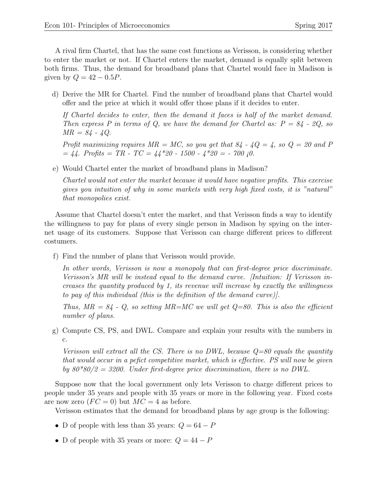A rival firm Chartel, that has the same cost functions as Verisson, is considering whether to enter the market or not. If Chartel enters the market, demand is equally split between both firms. Thus, the demand for broadband plans that Chartel would face in Madison is given by  $Q = 42 - 0.5P$ .

d) Derive the MR for Chartel. Find the number of broadband plans that Chartel would offer and the price at which it would offer those plans if it decides to enter.

If Chartel decides to enter, then the demand it faces is half of the market demand. Then express P in terms of Q, we have the demand for Chartel as:  $P = 84 - 2Q$ , so  $MR = 84 - 4Q$ .

Profit maximizing requires  $MR = MC$ , so you get that  $84 - 4Q = 4$ , so  $Q = 20$  and P  $= 44.$  Profits  $= TR - TC = 44*20 - 1500 - 4*20 = -700 \neq 0.$ 

e) Would Chartel enter the market of broadband plans in Madison?

Chartel would not enter the market because it would have negative profits. This exercise gives you intuition of why in some markets with very high fixed costs, it is "natural" that monopolies exist.

Assume that Chartel doesn't enter the market, and that Verisson finds a way to identify the willingness to pay for plans of every single person in Madison by spying on the internet usage of its customers. Suppose that Verisson can charge different prices to different costumers.

f) Find the number of plans that Verisson would provide.

In other words, Verisson is now a monopoly that can first-degree price discriminate. Verisson's MR will be instead equal to the demand curve. [Intuition: If Verisson increases the quantity produced by 1, its revenue will increase by exactly the willingness to pay of this individual (this is the definition of the demand curve)].

Thus,  $MR = 84$  - Q, so setting  $MR = MC$  we will get  $Q = 80$ . This is also the efficient number of plans.

g) Compute CS, PS, and DWL. Compare and explain your results with the numbers in c.

Verisson will extract all the CS. There is no DWL, because  $Q=80$  equals the quantity that would occur in a pefict competitive market, which is effective. PS will now be given by  $80*80/2 = 3200$ . Under first-degree price discrimination, there is no DWL.

Suppose now that the local government only lets Verisson to charge different prices to people under 35 years and people with 35 years or more in the following year. Fixed costs are now zero  $(FC = 0)$  but  $MC = 4$  as before.

Verisson estimates that the demand for broadband plans by age group is the following:

- D of people with less than 35 years:  $Q = 64 P$
- D of people with 35 years or more:  $Q = 44 P$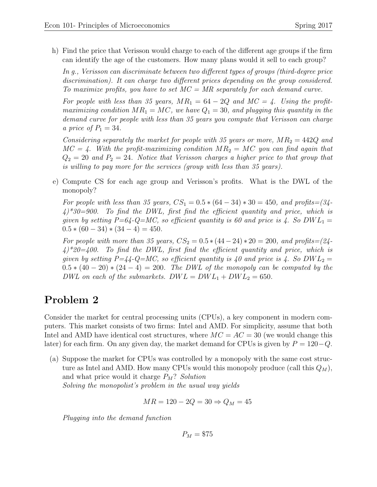h) Find the price that Verisson would charge to each of the different age groups if the firm can identify the age of the customers. How many plans would it sell to each group?

In g., Verisson can discriminate between two different types of groups (third-degree price discrimination). It can charge two different prices depending on the group considered. To maximize profits, you have to set  $MC = MR$  separately for each demand curve.

For people with less than 35 years,  $MR_1 = 64 - 2Q$  and  $MC = 4$ . Using the profitmaximizing condition  $MR_1 = MC$ , we have  $Q_1 = 30$ , and plugging this quantity in the demand curve for people with less than 35 years you compute that Verisson can charge a price of  $P_1 = 34$ .

Considering separately the market for people with 35 years or more,  $MR_2 = 442Q$  and  $MC = 4$ . With the profit-maximizing condition  $MR_2 = MC$  you can find again that  $Q_2 = 20$  and  $P_2 = 24$ . Notice that Verisson charges a higher price to that group that is willing to pay more for the services (group with less than 35 years).

e) Compute CS for each age group and Verisson's profits. What is the DWL of the monopoly?

For people with less than 35 years,  $CS_1 = 0.5 * (64 - 34) * 30 = 450$ , and profits= $(34 - 34) * 30 = 450$  $(4)^*30=900$ . To find the DWL, first find the efficient quantity and price, which is given by setting  $P=64$ -Q=MC, so efficient quantity is 60 and price is 4. So DWL<sub>1</sub> =  $0.5 * (60 - 34) * (34 - 4) = 450.$ 

For people with more than 35 years,  $CS_2 = 0.5 * (44 - 24) * 20 = 200$ , and profits= $(24 - 24) * 20 = 200$  $(4)^*20=400$ . To find the DWL, first find the efficient quantity and price, which is given by setting  $P=\cancel{4}{4}$ -Q=MC, so efficient quantity is 40 and price is 4. So DWL<sub>2</sub> =  $0.5 * (40 - 20) * (24 - 4) = 200$ . The DWL of the monopoly can be computed by the DWL on each of the submarkets.  $DWL = DW_{1} + DW_{2} = 650$ .

## Problem 2

Consider the market for central processing units (CPUs), a key component in modern computers. This market consists of two firms: Intel and AMD. For simplicity, assume that both Intel and AMD have identical cost structures, where  $MC = AC = 30$  (we would change this later) for each firm. On any given day, the market demand for CPUs is given by  $P = 120 - Q$ .

(a) Suppose the market for CPUs was controlled by a monopoly with the same cost structure as Intel and AMD. How many CPUs would this monopoly produce (call this  $Q_M$ ), and what price would it charge  $P_M$ ? Solution Solving the monopolist's problem in the usual way yields

$$
MR = 120 - 2Q = 30 \Rightarrow Q_M = 45
$$

Plugging into the demand function

 $P_M = $75$